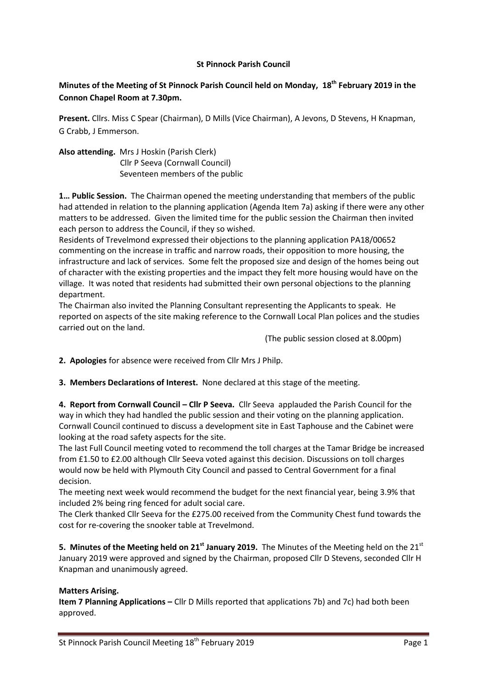## **St Pinnock Parish Council**

# **Minutes of the Meeting of St Pinnock Parish Council held on Monday, 18th February 2019 in the Connon Chapel Room at 7.30pm.**

**Present.** Cllrs. Miss C Spear (Chairman), D Mills (Vice Chairman), A Jevons, D Stevens, H Knapman, G Crabb, J Emmerson.

**Also attending.** Mrs J Hoskin (Parish Clerk) Cllr P Seeva (Cornwall Council) Seventeen members of the public

**1… Public Session.** The Chairman opened the meeting understanding that members of the public had attended in relation to the planning application (Agenda Item 7a) asking if there were any other matters to be addressed. Given the limited time for the public session the Chairman then invited each person to address the Council, if they so wished.

Residents of Trevelmond expressed their objections to the planning application PA18/00652 commenting on the increase in traffic and narrow roads, their opposition to more housing, the infrastructure and lack of services. Some felt the proposed size and design of the homes being out of character with the existing properties and the impact they felt more housing would have on the village. It was noted that residents had submitted their own personal objections to the planning department.

The Chairman also invited the Planning Consultant representing the Applicants to speak. He reported on aspects of the site making reference to the Cornwall Local Plan polices and the studies carried out on the land.

(The public session closed at 8.00pm)

**2. Apologies** for absence were received from Cllr Mrs J Philp.

**3. Members Declarations of Interest.** None declared at this stage of the meeting.

**4. Report from Cornwall Council – Cllr P Seeva.** Cllr Seeva applauded the Parish Council for the way in which they had handled the public session and their voting on the planning application. Cornwall Council continued to discuss a development site in East Taphouse and the Cabinet were looking at the road safety aspects for the site.

The last Full Council meeting voted to recommend the toll charges at the Tamar Bridge be increased from £1.50 to £2.00 although Cllr Seeva voted against this decision. Discussions on toll charges would now be held with Plymouth City Council and passed to Central Government for a final decision.

The meeting next week would recommend the budget for the next financial year, being 3.9% that included 2% being ring fenced for adult social care.

The Clerk thanked Cllr Seeva for the £275.00 received from the Community Chest fund towards the cost for re-covering the snooker table at Trevelmond.

**5. Minutes of the Meeting held on 21<sup>st</sup> January 2019.** The Minutes of the Meeting held on the 21<sup>st</sup> January 2019 were approved and signed by the Chairman, proposed Cllr D Stevens, seconded Cllr H Knapman and unanimously agreed.

### **Matters Arising.**

**Item 7 Planning Applications –** Cllr D Mills reported that applications 7b) and 7c) had both been approved.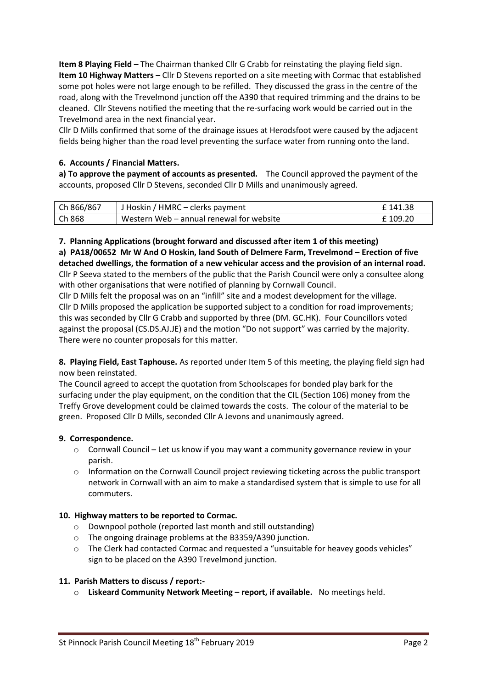**Item 8 Playing Field –** The Chairman thanked Cllr G Crabb for reinstating the playing field sign. **Item 10 Highway Matters –** Cllr D Stevens reported on a site meeting with Cormac that established some pot holes were not large enough to be refilled. They discussed the grass in the centre of the road, along with the Trevelmond junction off the A390 that required trimming and the drains to be cleaned. Cllr Stevens notified the meeting that the re-surfacing work would be carried out in the Trevelmond area in the next financial year.

Cllr D Mills confirmed that some of the drainage issues at Herodsfoot were caused by the adjacent fields being higher than the road level preventing the surface water from running onto the land.

# **6. Accounts / Financial Matters.**

**a) To approve the payment of accounts as presented.** The Council approved the payment of the accounts, proposed Cllr D Stevens, seconded Cllr D Mills and unanimously agreed.

| Ch 866/867 | J Hoskin / HMRC – clerks payment         | £ 141.38 |
|------------|------------------------------------------|----------|
| Ch 868     | Western Web – annual renewal for website | £ 109.20 |

## **7. Planning Applications (brought forward and discussed after item 1 of this meeting)**

**a) PA18/00652 Mr W And O Hoskin, land South of Delmere Farm, Trevelmond – Erection of five detached dwellings, the formation of a new vehicular access and the provision of an internal road.** Cllr P Seeva stated to the members of the public that the Parish Council were only a consultee along with other organisations that were notified of planning by Cornwall Council.

Cllr D Mills felt the proposal was on an "infill" site and a modest development for the village. Cllr D Mills proposed the application be supported subject to a condition for road improvements; this was seconded by Cllr G Crabb and supported by three (DM. GC.HK). Four Councillors voted against the proposal (CS.DS.AJ.JE) and the motion "Do not support" was carried by the majority. There were no counter proposals for this matter.

**8. Playing Field, East Taphouse.** As reported under Item 5 of this meeting, the playing field sign had now been reinstated.

The Council agreed to accept the quotation from Schoolscapes for bonded play bark for the surfacing under the play equipment, on the condition that the CIL (Section 106) money from the Treffy Grove development could be claimed towards the costs. The colour of the material to be green. Proposed Cllr D Mills, seconded Cllr A Jevons and unanimously agreed.

# **9. Correspondence.**

- $\circ$  Cornwall Council Let us know if you may want a community governance review in your parish.
- $\circ$  Information on the Cornwall Council project reviewing ticketing across the public transport network in Cornwall with an aim to make a standardised system that is simple to use for all commuters.

# **10. Highway matters to be reported to Cormac.**

- o Downpool pothole (reported last month and still outstanding)
- o The ongoing drainage problems at the B3359/A390 junction.
- $\circ$  The Clerk had contacted Cormac and requested a "unsuitable for heavey goods vehicles" sign to be placed on the A390 Trevelmond junction.

### **11. Parish Matters to discuss / report:-**

o **Liskeard Community Network Meeting – report, if available.** No meetings held.